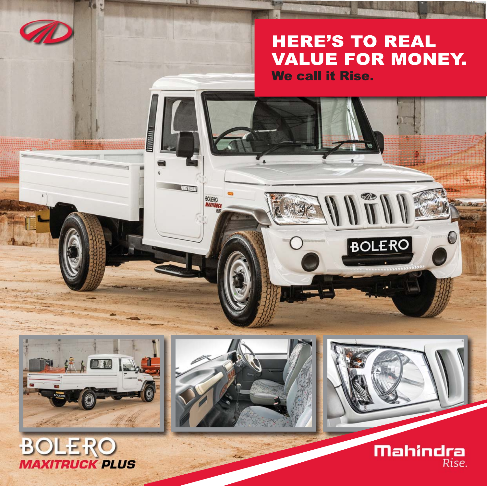**HERE'S TO REAL VALUE FOR MONEY. We call it Rise.** 

WITH

**BOLERO** 



**Line** 

**Carl Streets** 

**BOLERO** 

**CONFIRMER**